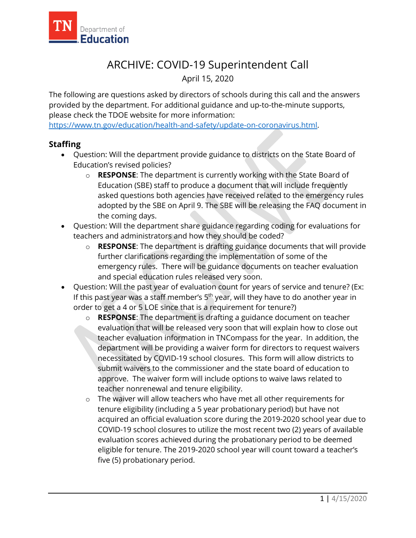

## ARCHIVE: COVID-19 Superintendent Call

April 15, 2020

The following are questions asked by directors of schools during this call and the answers provided by the department. For additional guidance and up-to-the-minute supports, please check the TDOE website for more information:

[https://www.tn.gov/education/health-and-safety/update-on-coronavirus.html.](https://www.tn.gov/education/health-and-safety/update-on-coronavirus.html)

## **Staffing**

- Question: Will the department provide guidance to districts on the State Board of Education's revised policies?
	- o **RESPONSE**: The department is currently working with the State Board of Education (SBE) staff to produce a document that will include frequently asked questions both agencies have received related to the emergency rules adopted by the SBE on April 9. The SBE will be releasing the FAQ document in the coming days.
- Question: Will the department share guidance regarding coding for evaluations for teachers and administrators and how they should be coded?
	- o **RESPONSE**: The department is drafting guidance documents that will provide further clarifications regarding the implementation of some of the emergency rules. There will be guidance documents on teacher evaluation and special education rules released very soon.
- Question: Will the past year of evaluation count for years of service and tenure? (Ex: If this past year was a staff member's  $5<sup>th</sup>$  year, will they have to do another year in order to get a 4 or 5 LOE since that is a requirement for tenure?)
	- o **RESPONSE**: The department is drafting a guidance document on teacher evaluation that will be released very soon that will explain how to close out teacher evaluation information in TNCompass for the year. In addition, the department will be providing a waiver form for directors to request waivers necessitated by COVID-19 school closures. This form will allow districts to submit waivers to the commissioner and the state board of education to approve. The waiver form will include options to waive laws related to teacher nonrenewal and tenure eligibility.
	- o The waiver will allow teachers who have met all other requirements for tenure eligibility (including a 5 year probationary period) but have not acquired an official evaluation score during the 2019-2020 school year due to COVID-19 school closures to utilize the most recent two (2) years of available evaluation scores achieved during the probationary period to be deemed eligible for tenure. The 2019-2020 school year will count toward a teacher's five (5) probationary period.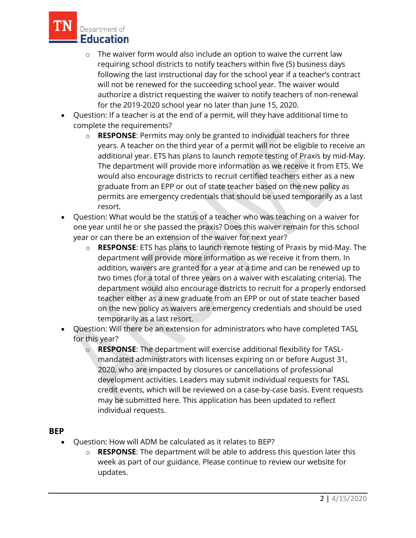

- $\circ$  The waiver form would also include an option to waive the current law requiring school districts to notify teachers within five (5) business days following the last instructional day for the school year if a teacher's contract will not be renewed for the succeeding school year. The waiver would authorize a district requesting the waiver to notify teachers of non-renewal for the 2019-2020 school year no later than June 15, 2020.
- Question: If a teacher is at the end of a permit, will they have additional time to complete the requirements?
	- o **RESPONSE**: Permits may only be granted to individual teachers for three years. A teacher on the third year of a permit will not be eligible to receive an additional year. ETS has plans to launch remote testing of Praxis by mid-May. The department will provide more information as we receive it from ETS. We would also encourage districts to recruit certified teachers either as a new graduate from an EPP or out of state teacher based on the new policy as permits are emergency credentials that should be used temporarily as a last resort.
- Question: What would be the status of a teacher who was teaching on a waiver for one year until he or she passed the praxis? Does this waiver remain for this school year or can there be an extension of the waiver for next year?
	- o **RESPONSE**: ETS has plans to launch remote testing of Praxis by mid-May. The department will provide more information as we receive it from them. In addition, waivers are granted for a year at a time and can be renewed up to two times (for a total of three years on a waiver with escalating criteria). The department would also encourage districts to recruit for a properly endorsed teacher either as a new graduate from an EPP or out of state teacher based on the new policy as waivers are emergency credentials and should be used temporarily as a last resort.
- Question: Will there be an extension for administrators who have completed TASL for this year?
	- o **RESPONSE**: The department will exercise additional flexibility for TASLmandated administrators with licenses expiring on or before August 31, 2020, who are impacted by closures or cancellations of professional development activities. Leaders may submit individual requests for TASL credit events, which will be reviewed on a case-by-case basis. Event requests may be submitted here. This application has been updated to reflect individual requests.

## **BEP**

- Question: How will ADM be calculated as it relates to BEP?
	- o **RESPONSE**: The department will be able to address this question later this week as part of our guidance. Please continue to review our website for updates.